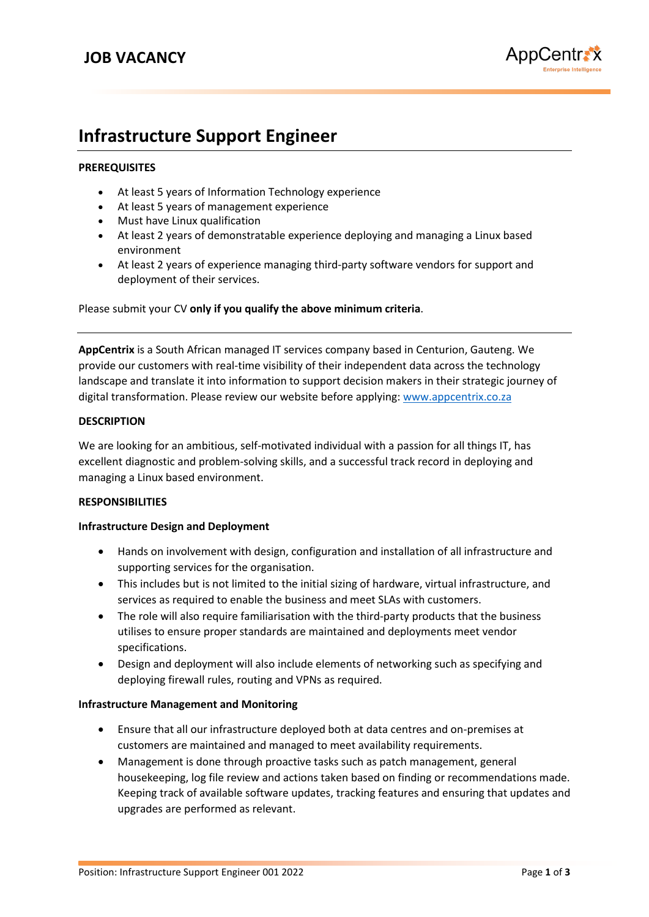

# **Infrastructure Support Engineer**

## **PREREQUISITES**

- At least 5 years of Information Technology experience
- At least 5 years of management experience
- Must have Linux qualification
- At least 2 years of demonstratable experience deploying and managing a Linux based environment
- At least 2 years of experience managing third-party software vendors for support and deployment of their services.

Please submit your CV **only if you qualify the above minimum criteria**.

**AppCentrix** is a South African managed IT services company based in Centurion, Gauteng. We provide our customers with real-time visibility of their independent data across the technology landscape and translate it into information to support decision makers in their strategic journey of digital transformation. Please review our website before applying[: www.appcentrix.co.za](http://www.appcentrix.co.za/)

### **DESCRIPTION**

We are looking for an ambitious, self-motivated individual with a passion for all things IT, has excellent diagnostic and problem-solving skills, and a successful track record in deploying and managing a Linux based environment.

### **RESPONSIBILITIES**

### **Infrastructure Design and Deployment**

- Hands on involvement with design, configuration and installation of all infrastructure and supporting services for the organisation.
- This includes but is not limited to the initial sizing of hardware, virtual infrastructure, and services as required to enable the business and meet SLAs with customers.
- The role will also require familiarisation with the third-party products that the business utilises to ensure proper standards are maintained and deployments meet vendor specifications.
- Design and deployment will also include elements of networking such as specifying and deploying firewall rules, routing and VPNs as required.

### **Infrastructure Management and Monitoring**

- Ensure that all our infrastructure deployed both at data centres and on-premises at customers are maintained and managed to meet availability requirements.
- Management is done through proactive tasks such as patch management, general housekeeping, log file review and actions taken based on finding or recommendations made. Keeping track of available software updates, tracking features and ensuring that updates and upgrades are performed as relevant.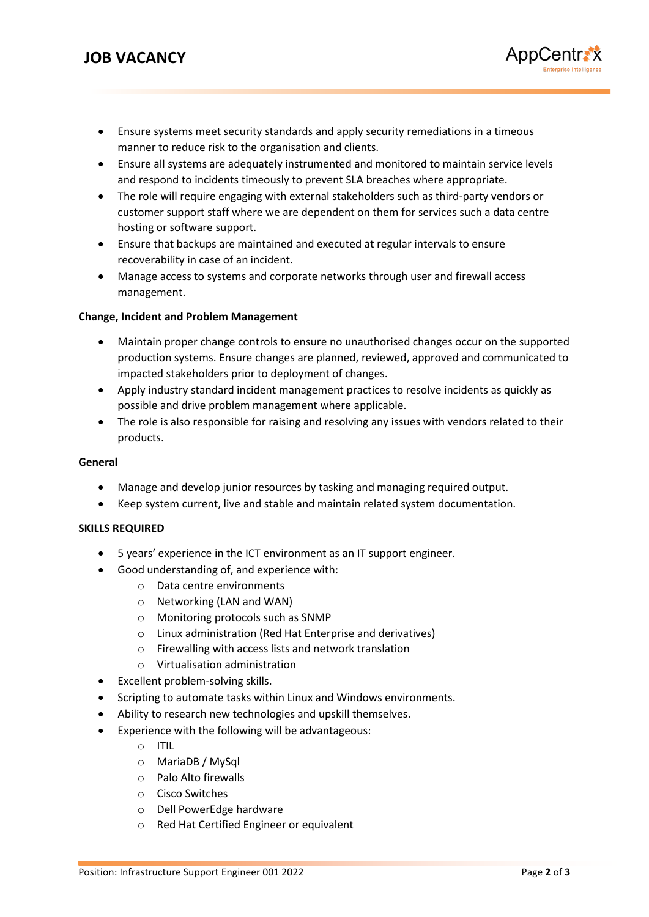- Ensure systems meet security standards and apply security remediations in a timeous manner to reduce risk to the organisation and clients.
- Ensure all systems are adequately instrumented and monitored to maintain service levels and respond to incidents timeously to prevent SLA breaches where appropriate.
- The role will require engaging with external stakeholders such as third-party vendors or customer support staff where we are dependent on them for services such a data centre hosting or software support.
- Ensure that backups are maintained and executed at regular intervals to ensure recoverability in case of an incident.
- Manage access to systems and corporate networks through user and firewall access management.

# **Change, Incident and Problem Management**

- Maintain proper change controls to ensure no unauthorised changes occur on the supported production systems. Ensure changes are planned, reviewed, approved and communicated to impacted stakeholders prior to deployment of changes.
- Apply industry standard incident management practices to resolve incidents as quickly as possible and drive problem management where applicable.
- The role is also responsible for raising and resolving any issues with vendors related to their products.

### **General**

- Manage and develop junior resources by tasking and managing required output.
- Keep system current, live and stable and maintain related system documentation.

### **SKILLS REQUIRED**

- 5 years' experience in the ICT environment as an IT support engineer.
- Good understanding of, and experience with:
	- o Data centre environments
	- o Networking (LAN and WAN)
	- o Monitoring protocols such as SNMP
	- o Linux administration (Red Hat Enterprise and derivatives)
	- o Firewalling with access lists and network translation
	- o Virtualisation administration
- Excellent problem-solving skills.
- Scripting to automate tasks within Linux and Windows environments.
- Ability to research new technologies and upskill themselves.
- Experience with the following will be advantageous:
	- o ITIL
	- o MariaDB / MySql
	- o Palo Alto firewalls
	- o Cisco Switches
	- o Dell PowerEdge hardware
	- o Red Hat Certified Engineer or equivalent

AppCentrax